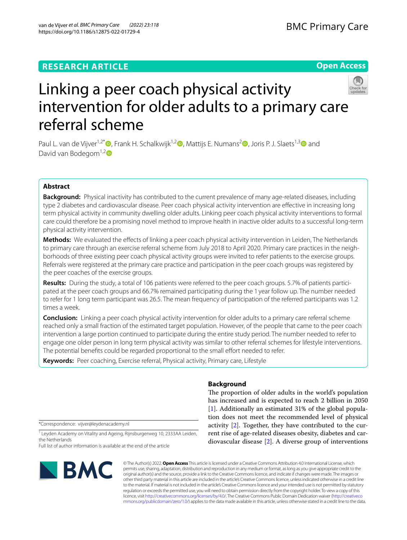van de Vijver *et al. BMC Primary Care (2022) 23:118*  https://doi.org/10.1186/s12875-022-01729-4

# **Open Access**



# Linking a peer coach physical activity intervention for older adults to a primary care referral scheme

Paul L. van de Vijver<sup>1,2[\\*](http://orcid.org/0000-0002-6713-9555)</sup> , Frank H. Schalkwijk<sup>1,[2](https://orcid.org/0000-0002-0368-5426)</sup> , Mattijs E. Numans<sup>2</sup> , Joris P. J. Slaets<sup>1,3</sup> and David van Bodegom<sup>1,2</sup>

# **Abstract**

**Background:** Physical inactivity has contributed to the current prevalence of many age-related diseases, including type 2 diabetes and cardiovascular disease. Peer coach physical activity intervention are efective in increasing long term physical activity in community dwelling older adults. Linking peer coach physical activity interventions to formal care could therefore be a promising novel method to improve health in inactive older adults to a successful long-term physical activity intervention.

**Methods:** We evaluated the efects of linking a peer coach physical activity intervention in Leiden, The Netherlands to primary care through an exercise referral scheme from July 2018 to April 2020. Primary care practices in the neighborhoods of three existing peer coach physical activity groups were invited to refer patients to the exercise groups. Referrals were registered at the primary care practice and participation in the peer coach groups was registered by the peer coaches of the exercise groups.

**Results:** During the study, a total of 106 patients were referred to the peer coach groups. 5.7% of patients participated at the peer coach groups and 66.7% remained participating during the 1 year follow up. The number needed to refer for 1 long term participant was 26.5. The mean frequency of participation of the referred participants was 1.2 times a week.

**Conclusion:** Linking a peer coach physical activity intervention for older adults to a primary care referral scheme reached only a small fraction of the estimated target population. However, of the people that came to the peer coach intervention a large portion continued to participate during the entire study period. The number needed to refer to engage one older person in long term physical activity was similar to other referral schemes for lifestyle interventions. The potential benefts could be regarded proportional to the small efort needed to refer.

**Keywords:** Peer coaching, Exercise referral, Physical activity, Primary care, Lifestyle

\*Correspondence: vijver@leydenacademy.nl

<sup>1</sup> Leyden Academy on Vitality and Ageing, Rijnsburgerweg 10, 2333AA Leiden, the Netherlands

Full list of author information is available at the end of the article



# **Background**

The proportion of older adults in the world's population has increased and is expected to reach 2 billion in 2050 [[1\]](#page-5-0). Additionally an estimated 31% of the global population does not meet the recommended level of physical activity [\[2](#page-5-1)]. Together, they have contributed to the current rise of age-related diseases obesity, diabetes and cardiovascular disease [\[2](#page-5-1)]. A diverse group of interventions

© The Author(s) 2022. **Open Access** This article is licensed under a Creative Commons Attribution 4.0 International License, which permits use, sharing, adaptation, distribution and reproduction in any medium or format, as long as you give appropriate credit to the original author(s) and the source, provide a link to the Creative Commons licence, and indicate if changes were made. The images or other third party material in this article are included in the article's Creative Commons licence, unless indicated otherwise in a credit line to the material. If material is not included in the article's Creative Commons licence and your intended use is not permitted by statutory regulation or exceeds the permitted use, you will need to obtain permission directly from the copyright holder. To view a copy of this licence, visit [http://creativecommons.org/licenses/by/4.0/.](http://creativecommons.org/licenses/by/4.0/) The Creative Commons Public Domain Dedication waiver ([http://creativeco](http://creativecommons.org/publicdomain/zero/1.0/) [mmons.org/publicdomain/zero/1.0/](http://creativecommons.org/publicdomain/zero/1.0/)) applies to the data made available in this article, unless otherwise stated in a credit line to the data.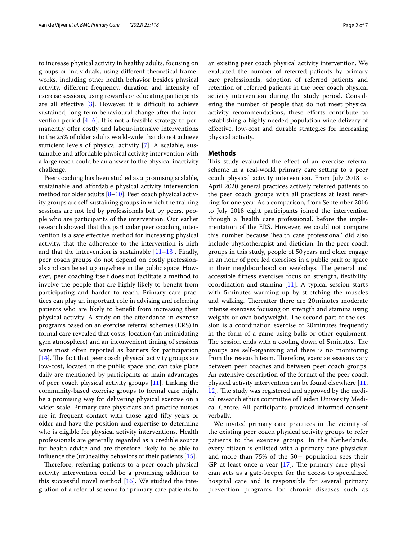to increase physical activity in healthy adults, focusing on groups or individuals, using diferent theoretical frameworks, including other health behavior besides physical activity, diferent frequency, duration and intensity of exercise sessions, using rewards or educating participants are all effective  $[3]$  $[3]$ . However, it is difficult to achieve sustained, long-term behavioural change after the intervention period [\[4](#page-5-3)–[6\]](#page-5-4). It is not a feasible strategy to permanently offer costly and labour-intensive interventions to the 25% of older adults world-wide that do not achieve sufficient levels of physical activity  $[7]$  $[7]$  $[7]$ . A scalable, sustainable and afordable physical activity intervention with a large reach could be an answer to the physical inactivity challenge.

Peer coaching has been studied as a promising scalable, sustainable and afordable physical activity intervention method for older adults [[8–](#page-5-6)[10\]](#page-5-7). Peer coach physical activity groups are self-sustaining groups in which the training sessions are not led by professionals but by peers, people who are participants of the intervention. Our earlier research showed that this particular peer coaching intervention is a safe efective method for increasing physical activity, that the adherence to the intervention is high and that the intervention is sustainable  $[11–13]$  $[11–13]$ . Finally, peer coach groups do not depend on costly professionals and can be set up anywhere in the public space. However, peer coaching itself does not facilitate a method to involve the people that are highly likely to beneft from participating and harder to reach. Primary care practices can play an important role in advising and referring patients who are likely to beneft from increasing their physical activity. A study on the attendance in exercise programs based on an exercise referral schemes (ERS) in formal care revealed that costs, location (an intimidating gym atmosphere) and an inconvenient timing of sessions were most often reported as barriers for participation  $[14]$  $[14]$ . The fact that peer coach physical activity groups are low-cost, located in the public space and can take place daily are mentioned by participants as main advantages of peer coach physical activity groups [\[11](#page-5-8)]. Linking the community-based exercise groups to formal care might be a promising way for delivering physical exercise on a wider scale. Primary care physicians and practice nurses are in frequent contact with those aged ffty years or older and have the position and expertise to determine who is eligible for physical activity interventions. Health professionals are generally regarded as a credible source for health advice and are therefore likely to be able to infuence the (un)healthy behaviors of their patients [\[15\]](#page-5-11).

Therefore, referring patients to a peer coach physical activity intervention could be a promising addition to this successful novel method [[16](#page-5-12)]. We studied the integration of a referral scheme for primary care patients to an existing peer coach physical activity intervention. We evaluated the number of referred patients by primary care professionals, adoption of referred patients and retention of referred patients in the peer coach physical activity intervention during the study period. Considering the number of people that do not meet physical activity recommendations, these efforts contribute to establishing a highly needed population wide delivery of efective, low-cost and durable strategies for increasing physical activity.

# **Methods**

This study evaluated the effect of an exercise referral scheme in a real-world primary care setting to a peer coach physical activity intervention. From July 2018 to April 2020 general practices actively referred patients to the peer coach groups with all practices at least referring for one year. As a comparison, from September 2016 to July 2018 eight participants joined the intervention through a 'health care professional', before the implementation of the ERS. However, we could not compare this number because 'health care professional' did also include physiotherapist and dietician. In the peer coach groups in this study, people of 50years and older engage in an hour of peer led exercises in a public park or space in their neighbourhood on weekdays. The general and accessible ftness exercises focus on strength, fexibility, coordination and stamina [[11](#page-5-8)]. A typical session starts with 5minutes warming up by stretching the muscles and walking. Thereafter there are 20 minutes moderate intense exercises focusing on strength and stamina using weights or own bodyweight. The second part of the session is a coordination exercise of 20minutes frequently in the form of a game using balls or other equipment. The session ends with a cooling down of 5 minutes. The groups are self-organizing and there is no monitoring from the research team. Therefore, exercise sessions vary between peer coaches and between peer coach groups. An extensive description of the format of the peer coach physical activity intervention can be found elsewhere [[11](#page-5-8), [12\]](#page-5-13). The study was registered and approved by the medical research ethics committee of Leiden University Medical Centre. All participants provided informed consent verbally.

We invited primary care practices in the vicinity of the existing peer coach physical activity groups to refer patients to the exercise groups. In the Netherlands, every citizen is enlisted with a primary care physician and more than  $75\%$  of the  $50+$  population sees their GP at least once a year  $[17]$  $[17]$  $[17]$ . The primary care physician acts as a gate-keeper for the access to specialized hospital care and is responsible for several primary prevention programs for chronic diseases such as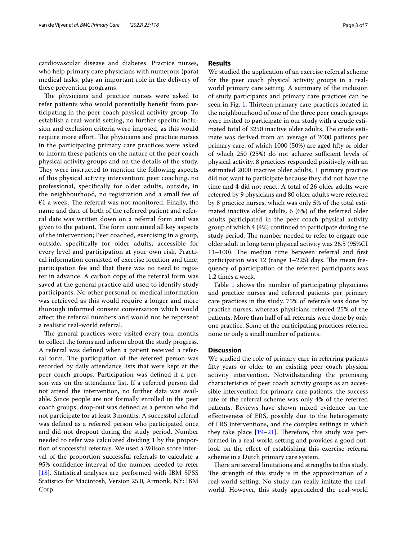cardiovascular disease and diabetes. Practice nurses, who help primary care physicians with numerous (para) medical tasks, play an important role in the delivery of these prevention programs.

The physicians and practice nurses were asked to refer patients who would potentially beneft from participating in the peer coach physical activity group. To establish a real-world setting, no further specifc inclusion and exclusion criteria were imposed, as this would require more effort. The physicians and practice nurses in the participating primary care practices were asked to inform these patients on the nature of the peer coach physical activity groups and on the details of the study. They were instructed to mention the following aspects of this physical activity intervention: peer coaching, no professional, specifcally for older adults, outside, in the neighbourhood, no registration and a small fee of  $€1$  a week. The referral was not monitored. Finally, the name and date of birth of the referred patient and referral date was written down on a referral form and was given to the patient. The form contained all key aspects of the intervention; Peer coached, exercising in a group, outside, specifcally for older adults, accessible for every level and participation at your own risk. Practical information consisted of exercise location and time, participation fee and that there was no need to register in advance. A carbon copy of the referral form was saved at the general practice and used to identify study participants. No other personal or medical information was retrieved as this would require a longer and more thorough informed consent conversation which would afect the referral numbers and would not be represent a realistic real-world referral.

The general practices were visited every four months to collect the forms and inform about the study progress. A referral was defned when a patient received a referral form. The participation of the referred person was recorded by daily attendance lists that were kept at the peer coach groups. Participation was defned if a person was on the attendance list. If a referred person did not attend the intervention, no further data was available. Since people are not formally enrolled in the peer coach groups, drop-out was defned as a person who did not participate for at least 3months. A successful referral was defned as a referred person who participated once and did not dropout during the study period. Number needed to refer was calculated dividing 1 by the proportion of successful referrals. We used a Wilson score interval of the proportion successful referrals to calculate a 95% confdence interval of the number needed to refer [[18\]](#page-5-15). Statistical analyses are performed with IBM SPSS Statistics for Macintosh, Version 25.0, Armonk, NY: IBM Corp.

# **Results**

We studied the application of an exercise referral scheme for the peer coach physical activity groups in a realworld primary care setting. A summary of the inclusion of study participants and primary care practices can be seen in Fig. [1.](#page-3-0) Thirteen primary care practices located in the neighbourhood of one of the three peer coach groups were invited to participate in our study with a crude estimated total of 3250 inactive older adults. The crude estimate was derived from an average of 2000 patients per primary care, of which 1000 (50%) are aged ffty or older of which  $250$   $(25%)$  do not achieve sufficient levels of physical activity. 8 practices responded positively with an estimated 2000 inactive older adults, 1 primary practice did not want to participate because they did not have the time and 4 did not react. A total of 26 older adults were referred by 9 physicians and 80 older adults were referred by 8 practice nurses, which was only 5% of the total estimated inactive older adults. 6 (6%) of the referred older adults participated in the peer coach physical activity group of which 4 (4%) continued to participate during the study period. The number needed to refer to engage one older adult in long term physical activity was 26.5 (95%CI 11-100). The median time between referral and first participation was 12 (range  $1-225$ ) days. The mean frequency of participation of the referred participants was 1.2 times a week.

Table [1](#page-3-1) shows the number of participating physicians and practice nurses and referred patients per primary care practices in the study. 75% of referrals was done by practice nurses, whereas physicians referred 25% of the patients. More than half of all referrals were done by only one practice. Some of the participating practices referred none or only a small number of patients.

# **Discussion**

We studied the role of primary care in referring patients ffty years or older to an existing peer coach physical activity intervention. Notwithstanding the promising characteristics of peer coach activity groups as an accessible intervention for primary care patients, the success rate of the referral scheme was only 4% of the referred patients. Reviews have shown mixed evidence on the efectiveness of ERS, possibly due to the heterogeneity of ERS interventions, and the complex settings in which they take place  $[19-21]$  $[19-21]$ . Therefore, this study was performed in a real-world setting and provides a good outlook on the efect of establishing this exercise referral scheme in a Dutch primary care system.

There are several limitations and strengths to this study. The strength of this study is in the approximation of a real-world setting. No study can really imitate the realworld. However, this study approached the real-world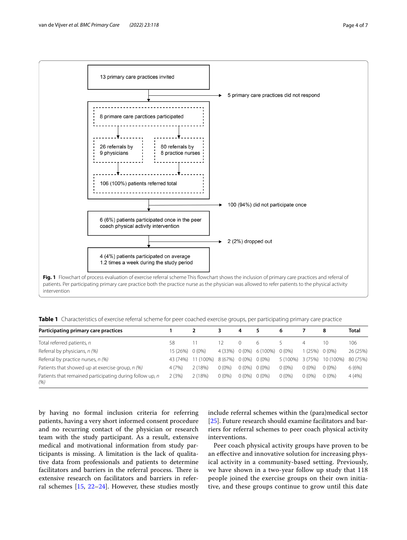



<span id="page-3-1"></span><span id="page-3-0"></span>**Table 1** Characteristics of exercise referral scheme for peer coached exercise groups, per participating primary care practice

| Participating primary care practices                             |          |           |          | 4        | 5                 | 6        |          | 8         | Total    |
|------------------------------------------------------------------|----------|-----------|----------|----------|-------------------|----------|----------|-----------|----------|
| Total referred patients, n                                       | 58       |           |          |          | h                 |          |          |           | 106      |
| Referral by physicians, n (%)                                    | 15 (26%) | $0(0\%)$  | 4 (33%)  |          | $0(0\%)$ 6 (100%) | $0(0\%)$ | (25%)    | $0(0\%)$  | 26 (25%) |
| Referral by practice nurses, n (%)                               | 43 (74%) | 11 (100%) | 8 (67%)  | $0(0\%)$ | $0(0\%)$          | 5 (100%) | 3 (75%)  | 10 (100%) | 80 (75%) |
| Patients that showed up at exercise group, n (%)                 | 4(7%)    | 2(18%)    | $0(0\%)$ | $0(0\%)$ | $0(0\%)$          | $0(0\%)$ | $0(0\%)$ | $0(0\%)$  | 6(6%)    |
| Patients that remained participating during follow up, n<br>(% ) | 2(3%)    | 2(18%)    | $0(0\%)$ | $0(0\%)$ | $0(0\%)$          | $0(0\%)$ | $0(0\%)$ | $0(0\%)$  | 4(4%)    |

by having no formal inclusion criteria for referring patients, having a very short informed consent procedure and no recurring contact of the physician or research team with the study participant. As a result, extensive medical and motivational information from study participants is missing. A limitation is the lack of qualitative data from professionals and patients to determine facilitators and barriers in the referral process. There is extensive research on facilitators and barriers in referral schemes [[15,](#page-5-11) [22](#page-5-18)[–24](#page-5-19)]. However, these studies mostly

include referral schemes within the (para)medical sector [[25\]](#page-6-0). Future research should examine facilitators and barriers for referral schemes to peer coach physical activity interventions.

Peer coach physical activity groups have proven to be an efective and innovative solution for increasing physical activity in a community-based setting. Previously, we have shown in a two-year follow up study that 118 people joined the exercise groups on their own initiative, and these groups continue to grow until this date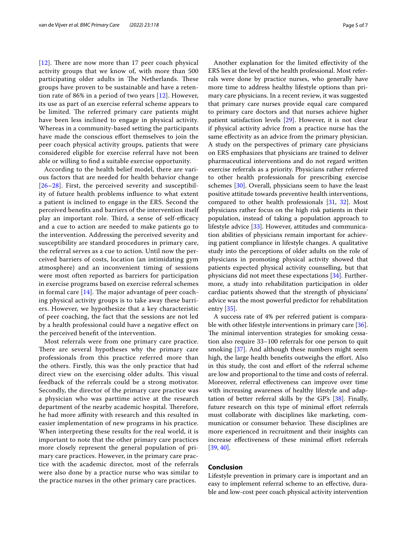$[12]$  $[12]$  $[12]$ . There are now more than 17 peer coach physical activity groups that we know of, with more than 500 participating older adults in The Netherlands. These groups have proven to be sustainable and have a retention rate of 86% in a period of two years [[12\]](#page-5-13). However, its use as part of an exercise referral scheme appears to be limited. The referred primary care patients might have been less inclined to engage in physical activity. Whereas in a community-based setting the participants have made the conscious effort themselves to join the peer coach physical activity groups, patients that were considered eligible for exercise referral have not been able or willing to fnd a suitable exercise opportunity.

According to the health belief model, there are various factors that are needed for health behavior change [[26](#page-6-1)[–28](#page-6-2)]. First, the perceived severity and susceptibility of future health problems infuence to what extent a patient is inclined to engage in the ERS. Second the perceived benefts and barriers of the intervention itself play an important role. Third, a sense of self-efficacy and a cue to action are needed to make patients go to the intervention. Addressing the perceived severity and susceptibility are standard procedures in primary care, the referral serves as a cue to action. Until now the perceived barriers of costs, location (an intimidating gym atmosphere) and an inconvenient timing of sessions were most often reported as barriers for participation in exercise programs based on exercise referral schemes in formal care  $[14]$  $[14]$ . The major advantage of peer coaching physical activity groups is to take away these barriers. However, we hypothesize that a key characteristic of peer coaching, the fact that the sessions are not led by a health professional could have a negative efect on the perceived beneft of the intervention.

Most referrals were from one primary care practice. There are several hypotheses why the primary care professionals from this practice referred more than the others. Firstly, this was the only practice that had direct view on the exercising older adults. This visual feedback of the referrals could be a strong motivator. Secondly, the director of the primary care practice was a physician who was parttime active at the research department of the nearby academic hospital. Therefore, he had more affinity with research and this resulted in easier implementation of new programs in his practice. When interpreting these results for the real world, it is important to note that the other primary care practices more closely represent the general population of primary care practices. However, in the primary care practice with the academic director, most of the referrals were also done by a practice nurse who was similar to the practice nurses in the other primary care practices.

Another explanation for the limited efectivity of the ERS lies at the level of the health professional. Most referrals were done by practice nurses, who generally have more time to address healthy lifestyle options than primary care physicians. In a recent review, it was suggested that primary care nurses provide equal care compared to primary care doctors and that nurses achieve higher patient satisfaction levels [\[29\]](#page-6-3). However, it is not clear if physical activity advice from a practice nurse has the same efectivity as an advice from the primary physician. A study on the perspectives of primary care physicians on ERS emphasizes that physicians are trained to deliver pharmaceutical interventions and do not regard written exercise referrals as a priority. Physicians rather referred to other health professionals for prescribing exercise schemes [[30\]](#page-6-4). Overall, physicians seem to have the least positive attitude towards preventive health interventions, compared to other health professionals [[31,](#page-6-5) [32](#page-6-6)]. Most physicians rather focus on the high risk patients in their population, instead of taking a population approach to lifestyle advice [[33\]](#page-6-7). However, attitudes and communication abilities of physicians remain important for achieving patient compliance in lifestyle changes. A qualitative study into the perceptions of older adults on the role of physicians in promoting physical activity showed that patients expected physical activity counselling, but that physicians did not meet these expectations [\[34](#page-6-8)]. Furthermore, a study into rehabilitation participation in older cardiac patients showed that the strength of physicians' advice was the most powerful predictor for rehabilitation entry [[35\]](#page-6-9).

A success rate of 4% per referred patient is compara-ble with other lifestyle interventions in primary care [\[36](#page-6-10)]. The minimal intervention strategies for smoking cessation also require 33–100 referrals for one person to quit smoking [\[37](#page-6-11)]. And although these numbers might seem high, the large health benefits outweighs the effort. Also in this study, the cost and efort of the referral scheme are low and proportional to the time and costs of referral. Moreover, referral efectiveness can improve over time with increasing awareness of healthy lifestyle and adaptation of better referral skills by the GP's [\[38\]](#page-6-12). Finally, future research on this type of minimal effort referrals must collaborate with disciplines like marketing, communication or consumer behavior. These disciplines are more experienced in recruitment and their insights can increase effectiveness of these minimal effort referrals [[39,](#page-6-13) [40](#page-6-14)].

# **Conclusion**

Lifestyle prevention in primary care is important and an easy to implement referral scheme to an efective, durable and low-cost peer coach physical activity intervention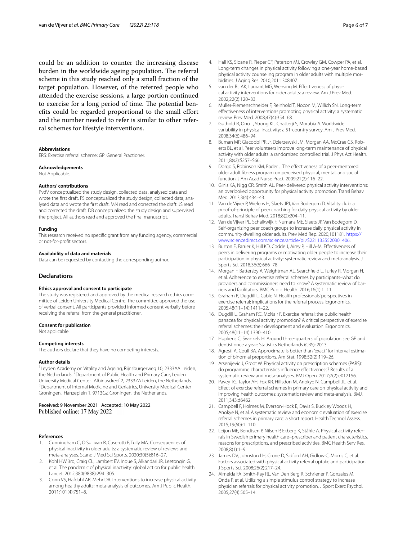could be an addition to counter the increasing disease burden in the worldwide ageing population. The referral scheme in this study reached only a small fraction of the target population. However, of the referred people who attended the exercise sessions, a large portion continued to exercise for a long period of time. The potential benefts could be regarded proportional to the small efort and the number needed to refer is similar to other referral schemes for lifestyle interventions.

### **Abbreviations**

ERS: Exercise referral scheme; GP: General Practioner.

### **Acknowledgements**

Not Applicable.

#### **Authors' contributions**

PvdV conceptualized the study design, collected data, analysed data and wrote the frst draft. FS conceptualized the study design, collected data, analysed data and wrote the frst draft. MN read and corrected the draft. JS read and corrected the draft. DB conceptualized the study design and supervised the project. All authors read and approved the fnal manuscript.

#### **Funding**

This research received no specifc grant from any funding agency, commercial or not-for-proft sectors.

## **Availability of data and materials**

Data can be requested by contacting the corresponding author.

# **Declarations**

#### **Ethics approval and consent to participate**

The study was registered and approved by the medical research ethics committee of Leiden University Medical Centre. The committee approved the use of verbal consent. All participants provided informed consent verbally before receiving the referral from the general practitioner.

#### **Consent for publication**

Not applicable.

## **Competing interests**

The authors declare that they have no competing interests.

### **Author details**

<sup>1</sup> Leyden Academy on Vitality and Ageing, Rijnsburgerweg 10, 2333AA Leiden, the Netherlands. <sup>2</sup>Department of Public Health and Primary Care, Leiden University Medical Center, Albinusdreef 2, 2333ZA Leiden, the Netherlands. 3 <sup>3</sup> Department of Internal Medicine and Geriatrics, University Medical Center Groningen, Hanzeplein 1, 9713GZ Groningen, the Netherlands.

# Received: 9 November 2021 Accepted: 10 May 2022 Published online: 17 May 2022

#### **References**

- <span id="page-5-0"></span>1. Cunningham C, O'Sullivan R, Caserotti P, Tully MA. Consequences of physical inactivity in older adults: a systematic review of reviews and meta-analyses. Scand J Med Sci Sports. 2020;30(5):816–27.
- <span id="page-5-1"></span>2. Kohl HW 3rd, Craig CL, Lambert EV, Inoue S, Alkandari JR, Leetongin G, et al. The pandemic of physical inactivity: global action for public health. Lancet. 2012;380(9838):294–305.
- <span id="page-5-2"></span>3. Conn VS, Hafdahl AR, Mehr DR. Interventions to increase physical activity among healthy adults: meta-analysis of outcomes. Am J Public Health. 2011;101(4):751–8.
- <span id="page-5-3"></span>4. Hall KS, Sloane R, Pieper CF, Peterson MJ, Crowley GM, Cowper PA, et al. Long-term changes in physical activity following a one-year home-based physical activity counseling program in older adults with multiple morbidities. J Aging Res. 2010;2011:308407.
- 5. van der Bij AK, Laurant MG, Wensing M. Efectiveness of physical activity interventions for older adults: a review. Am J Prev Med. 2002;22(2):120–33.
- <span id="page-5-4"></span>6. Muller-Riemenschneider F, Reinhold T, Nocon M, Willich SN. Long-term efectiveness of interventions promoting physical activity: a systematic review. Prev Med. 2008;47(4):354–68.
- <span id="page-5-5"></span>7. Guthold R, Ono T, Strong KL, Chatterji S, Morabia A. Worldwide variability in physical inactivity: a 51-country survey. Am J Prev Med. 2008;34(6):486–94.
- <span id="page-5-6"></span>8. Buman MP, Giacobbi PR Jr, Dzierzewski JM, Morgan AA, McCrae CS, Roberts BL, et al. Peer volunteers improve long-term maintenance of physical activity with older adults: a randomized controlled trial. J Phys Act Health. 2011;8(s2):S257–S66.
- 9. Dorgo S, Robinson KM, Bader J. The effectiveness of a peer-mentored older adult ftness program on perceived physical, mental, and social function. J Am Acad Nurse Pract. 2009;21(2):116–22.
- <span id="page-5-7"></span>10. Ginis KA, Nigg CR, Smith AL. Peer-delivered physical activity interventions: an overlooked opportunity for physical activity promotion. Transl Behav Med. 2013;3(4):434–43.
- <span id="page-5-8"></span>11. Van de Vijver P, Wielens H, Slaets JPJ, Van Bodegom D. Vitality club: a proof-of-principle of peer coaching for daily physical activity by older adults. Transl Behav Med. 2018;8(2):204–11.
- <span id="page-5-13"></span>12. Van de Vijver PL, Schalkwijk F, Numans ME, Slaets JP, Van Bodegom D. Self-organizing peer coach groups to increase daily physical activity in community dwelling older adults. Prev Med Rep. 2020;101181. [https://](https://www.sciencedirect.com/science/article/pii/S2211335520301406) [www.sciencedirect.com/science/article/pii/S2211335520301406.](https://www.sciencedirect.com/science/article/pii/S2211335520301406)
- <span id="page-5-9"></span>13. Burton E, Farrier K, Hill KD, Codde J, Airey P, Hill A-M. Efectiveness of peers in delivering programs or motivating older people to increase their participation in physical activity: systematic review and meta-analysis. J Sports Sci. 2018;36(6):666–78.
- <span id="page-5-10"></span>14. Morgan F, Battersby A, Weightman AL, Searchfeld L, Turley R, Morgan H, et al. Adherence to exercise referral schemes by participants–what do providers and commissioners need to know? A systematic review of barriers and facilitators. BMC Public Health. 2016;16(1):1–11.
- <span id="page-5-11"></span>15. Graham R, Dugdill L, Cable N. Health professionals' perspectives in exercise referral: implications for the referral process. Ergonomics. 2005;48(11–14):1411–22.
- <span id="page-5-12"></span>16. Dugdill L, Graham RC, McNair F. Exercise referral: the public health panacea for physical activity promotion? A critical perspective of exercise referral schemes; their development and evaluation. Ergonomics. 2005;48(11–14):1390–410.
- <span id="page-5-14"></span>17. Hupkens C, Swinkels H. Around three-quarters of population see GP and dentist once a year: Statistics Netherlands (CBS); 2013.
- <span id="page-5-15"></span>18. Agresti A, Coull BA. Approximate is better than "exact" for interval estimation of binomial proportions. Am Stat. 1998;52(2):119–26.
- <span id="page-5-16"></span>19. Arsenijevic J, Groot W. Physical activity on prescription schemes (PARS): do programme characteristics infuence efectiveness? Results of a systematic review and meta-analyses. BMJ Open. 2017;7(2):e012156.
- 20. Pavey TG, Taylor AH, Fox KR, Hillsdon M, Anokye N, Campbell JL, et al. Efect of exercise referral schemes in primary care on physical activity and improving health outcomes: systematic review and meta-analysis. BMJ. 2011;343:d6462.
- <span id="page-5-17"></span>21. Campbell F, Holmes M, Everson-Hock E, Davis S, Buckley Woods H, Anokye N, et al. A systematic review and economic evaluation of exercise referral schemes in primary care: a short report. Health Technol Assess. 2015;19(60):1–110.
- <span id="page-5-18"></span>22. Leijon ME, Bendtsen P, Nilsen P, Ekberg K, Ståhle A. Physical activity referrals in Swedish primary health care–prescriber and patient characteristics, reasons for prescriptions, and prescribed activities. BMC Health Serv Res. 2008;8(1):1–9.
- 23. James DV, Johnston LH, Crone D, Sidford AH, Gidlow C, Morris C, et al. Factors associated with physical activity referral uptake and participation. J Sports Sci. 2008;26(2):217–24.
- <span id="page-5-19"></span>24. Almeida FA, Smith-Ray RL, Van Den Berg R, Schriener P, Gonzales M, Onda P, et al. Utilizing a simple stimulus control strategy to increase physician referrals for physical activity promotion. J Sport Exerc Psychol. 2005;27(4):505–14.